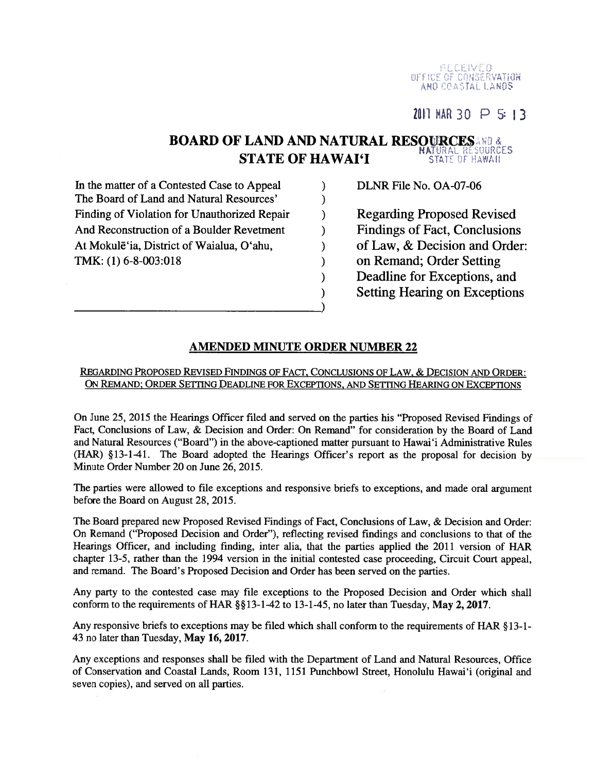RECEIVED<br>UFFICE OF CONSERVATION<br>AND COASTAL LANDS

2011 MAR 30  $\triangleright$  5:13

#### **BOARD OF LAND AND NATURAL RESOURCES** AND & **STATE OF HAWAI'I** STATE OF HAWAII

 $\lambda$ 

 $\lambda$ 

 $\lambda$ 

 $\lambda$ 

 $\lambda$ 

 $\mathcal{E}$ 

 $\mathcal{E}$ 

 $\lambda$ 

In the matter of a Contested Case to Appeal The Board of Land and Natural Resources' Finding of Violation for Unauthorized Repair And Reconstruction of a Boulder Revetment At Mokulē'ia, District of Waialua, O'ahu, TMK:  $(1)$  6-8-003:018

DLNR File No. OA-07-06

**Regarding Proposed Revised Findings of Fact, Conclusions** of Law, & Decision and Order: on Remand; Order Setting Deadline for Exceptions, and **Setting Hearing on Exceptions** 

## **AMENDED MINUTE ORDER NUMBER 22**

### REGARDING PROPOSED REVISED FINDINGS OF FACT, CONCLUSIONS OF LAW, & DECISION AND ORDER: ON REMAND; ORDER SETTING DEADLINE FOR EXCEPTIONS, AND SETTING HEARING ON EXCEPTIONS

On June 25, 2015 the Hearings Officer filed and served on the parties his "Proposed Revised Findings of Fact, Conclusions of Law, & Decision and Order: On Remand" for consideration by the Board of Land and Natural Resources ("Board") in the above-captioned matter pursuant to Hawai'i Administrative Rules (HAR) §13-1-41. The Board adopted the Hearings Officer's report as the proposal for decision by Minute Order Number 20 on June 26, 2015.

The parties were allowed to file exceptions and responsive briefs to exceptions, and made oral argument before the Board on August 28, 2015.

The Board prepared new Proposed Revised Findings of Fact, Conclusions of Law, & Decision and Order: On Remand ("Proposed Decision and Order"), reflecting revised findings and conclusions to that of the Hearings Officer, and including finding, inter alia, that the parties applied the 2011 version of HAR chapter 13-5, rather than the 1994 version in the initial contested case proceeding, Circuit Court appeal, and remand. The Board's Proposed Decision and Order has been served on the parties.

Any party to the contested case may file exceptions to the Proposed Decision and Order which shall conform to the requirements of HAR §§13-1-42 to 13-1-45, no later than Tuesday, May 2, 2017.

Any responsive briefs to exceptions may be filed which shall conform to the requirements of HAR §13-1-43 no later than Tuesday, May 16, 2017.

Any exceptions and responses shall be filed with the Department of Land and Natural Resources, Office of Conservation and Coastal Lands, Room 131, 1151 Punchbowl Street, Honolulu Hawai'i (original and seven copies), and served on all parties.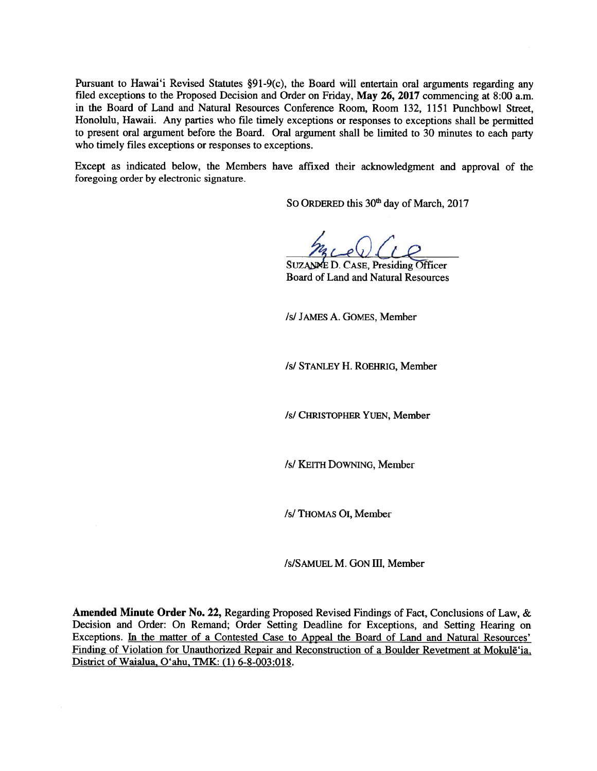Pursuant to Hawai'i Revised Statutes §91-9(c), the Board will entertain oral arguments regarding any filed exceptions to the Proposed Decision and Order on Friday, May 26, 2017 commencing at 8:00 a.m. in the Board of Land and Natural Resources Conference Room, Room 132, 1151 Punchbowl Street, Honolulu, Hawaii. Any parties who file timely exceptions or responses to exceptions shall be permitted to presen<sup>t</sup> oral argumen<sup>t</sup> before the Board. Oral argumen<sup>t</sup> shall be limited to <sup>30</sup> minutes to each party who timely files exceptions or responses to exceptions.

Except as indicated below, the Members have affixed their acknowledgment and approval of the foregoing order by electronic signature.

SO ORDERED this 30<sup>th</sup> day of March, 2017

SUZANNE D. CASE, Presiding Officer Board of Land and Natural Resources

/5/ JAMES A. GOMES, Member

Is! STANLEY H. ROEHRIG, Member

/s/ CHRISTOPHER YUEN, Member

/s/ KEITH DOWNING, Member

/s/ THOMAS OI, Member

/s/SAMUEL M. GON III, Member

Amended Minute Order No. 22, Regarding Proposed Revised Findings of Fact, Conclusions of Law, & Decision and Order: On Remand; Order Setting Deadline for Exceptions, and Setting Hearing on Exceptions. In the matter of <sup>a</sup> Contested Case to Appeal the Board of Land and Natural Resources' Finding of Violation for Unauthorized Repair and Reconstruction of <sup>a</sup> Boulder Revetment at Mokulë'ia, District of Waialua, O'ahu, TMK: (1) 6-8-003:018.